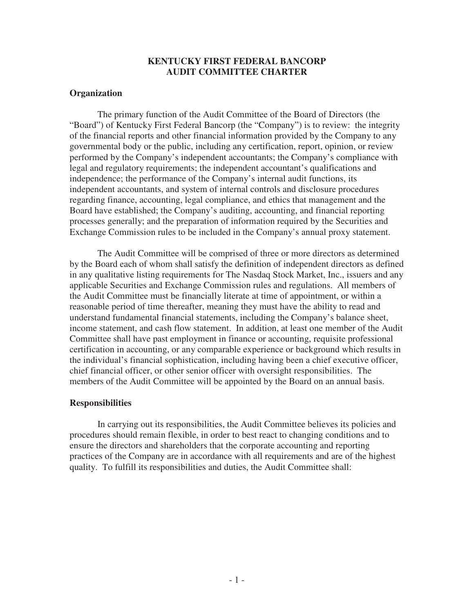## **KENTUCKY FIRST FEDERAL BANCORP AUDIT COMMITTEE CHARTER**

## **Organization**

 The primary function of the Audit Committee of the Board of Directors (the "Board") of Kentucky First Federal Bancorp (the "Company") is to review: the integrity of the financial reports and other financial information provided by the Company to any governmental body or the public, including any certification, report, opinion, or review performed by the Company's independent accountants; the Company's compliance with legal and regulatory requirements; the independent accountant's qualifications and independence; the performance of the Company's internal audit functions, its independent accountants, and system of internal controls and disclosure procedures regarding finance, accounting, legal compliance, and ethics that management and the Board have established; the Company's auditing, accounting, and financial reporting processes generally; and the preparation of information required by the Securities and Exchange Commission rules to be included in the Company's annual proxy statement.

 The Audit Committee will be comprised of three or more directors as determined by the Board each of whom shall satisfy the definition of independent directors as defined in any qualitative listing requirements for The Nasdaq Stock Market, Inc., issuers and any applicable Securities and Exchange Commission rules and regulations. All members of the Audit Committee must be financially literate at time of appointment, or within a reasonable period of time thereafter, meaning they must have the ability to read and understand fundamental financial statements, including the Company's balance sheet, income statement, and cash flow statement. In addition, at least one member of the Audit Committee shall have past employment in finance or accounting, requisite professional certification in accounting, or any comparable experience or background which results in the individual's financial sophistication, including having been a chief executive officer, chief financial officer, or other senior officer with oversight responsibilities. The members of the Audit Committee will be appointed by the Board on an annual basis.

## **Responsibilities**

In carrying out its responsibilities, the Audit Committee believes its policies and procedures should remain flexible, in order to best react to changing conditions and to ensure the directors and shareholders that the corporate accounting and reporting practices of the Company are in accordance with all requirements and are of the highest quality. To fulfill its responsibilities and duties, the Audit Committee shall: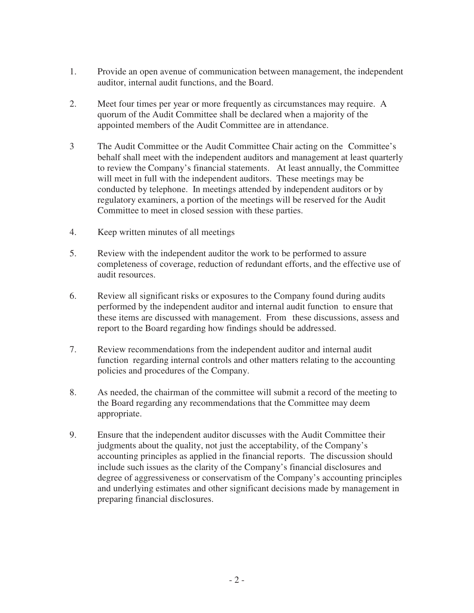- 1. Provide an open avenue of communication between management, the independent auditor, internal audit functions, and the Board.
- 2. Meet four times per year or more frequently as circumstances may require. A quorum of the Audit Committee shall be declared when a majority of the appointed members of the Audit Committee are in attendance.
- 3 The Audit Committee or the Audit Committee Chair acting on the Committee's behalf shall meet with the independent auditors and management at least quarterly to review the Company's financial statements. At least annually, the Committee will meet in full with the independent auditors. These meetings may be conducted by telephone. In meetings attended by independent auditors or by regulatory examiners, a portion of the meetings will be reserved for the Audit Committee to meet in closed session with these parties.
- 4. Keep written minutes of all meetings
- 5. Review with the independent auditor the work to be performed to assure completeness of coverage, reduction of redundant efforts, and the effective use of audit resources.
- 6. Review all significant risks or exposures to the Company found during audits performed by the independent auditor and internal audit function to ensure that these items are discussed with management. From these discussions, assess and report to the Board regarding how findings should be addressed.
- 7. Review recommendations from the independent auditor and internal audit function regarding internal controls and other matters relating to the accounting policies and procedures of the Company.
- 8. As needed, the chairman of the committee will submit a record of the meeting to the Board regarding any recommendations that the Committee may deem appropriate.
- 9. Ensure that the independent auditor discusses with the Audit Committee their judgments about the quality, not just the acceptability, of the Company's accounting principles as applied in the financial reports. The discussion should include such issues as the clarity of the Company's financial disclosures and degree of aggressiveness or conservatism of the Company's accounting principles and underlying estimates and other significant decisions made by management in preparing financial disclosures.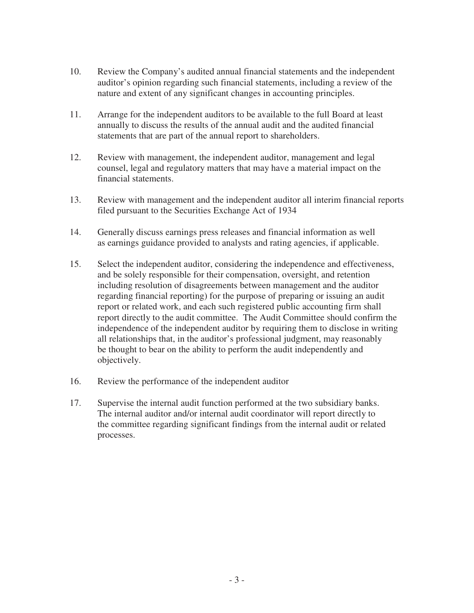- 10. Review the Company's audited annual financial statements and the independent auditor's opinion regarding such financial statements, including a review of the nature and extent of any significant changes in accounting principles.
- 11. Arrange for the independent auditors to be available to the full Board at least annually to discuss the results of the annual audit and the audited financial statements that are part of the annual report to shareholders.
- 12. Review with management, the independent auditor, management and legal counsel, legal and regulatory matters that may have a material impact on the financial statements.
- 13. Review with management and the independent auditor all interim financial reports filed pursuant to the Securities Exchange Act of 1934
- 14. Generally discuss earnings press releases and financial information as well as earnings guidance provided to analysts and rating agencies, if applicable.
- 15. Select the independent auditor, considering the independence and effectiveness, and be solely responsible for their compensation, oversight, and retention including resolution of disagreements between management and the auditor regarding financial reporting) for the purpose of preparing or issuing an audit report or related work, and each such registered public accounting firm shall report directly to the audit committee. The Audit Committee should confirm the independence of the independent auditor by requiring them to disclose in writing all relationships that, in the auditor's professional judgment, may reasonably be thought to bear on the ability to perform the audit independently and objectively.
- 16. Review the performance of the independent auditor
- 17. Supervise the internal audit function performed at the two subsidiary banks. The internal auditor and/or internal audit coordinator will report directly to the committee regarding significant findings from the internal audit or related processes.